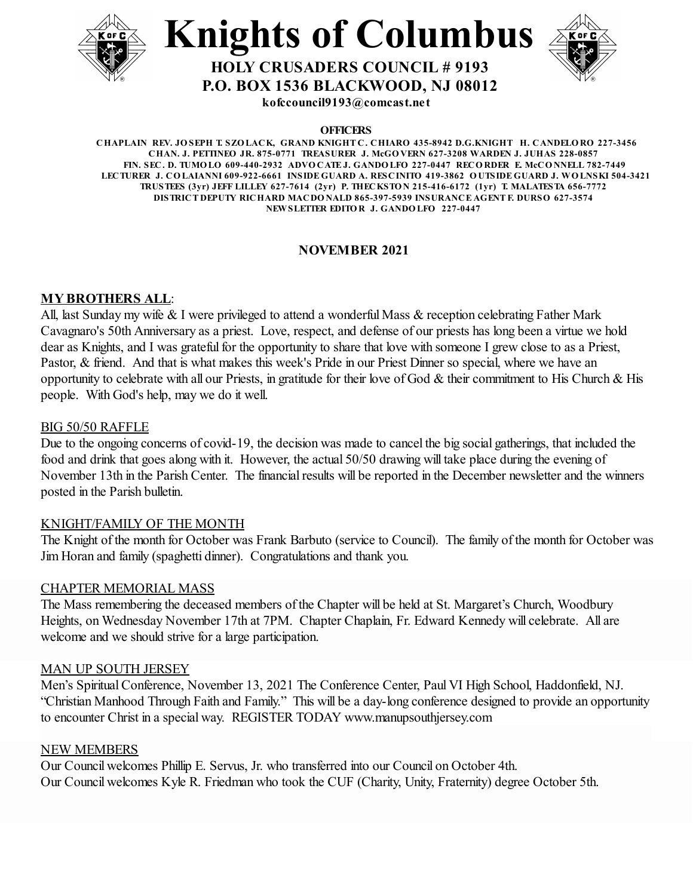





**P.O. BOX 1536 BLACKWOOD, NJ 08012**

**kofccouncil9193@comcast.net**

**OFFICERS**

**CHAPLAIN REV. JO SEPH T. SZO LACK, GRAND KNIGHT C. CHIARO 435-8942 D.G.KNIGHT H. CANDELO RO 227-3456 CHAN. J. PETTINEO JR. 875-0771 TREASURER J. McGO VERN 627-3208 WARDEN J. JUHAS 228-0857 FIN. SEC. D. TUMO LO 609-440-2932 ADVO CATE J. GANDO LFO 227-0447 RECO RDER E. McCO NNELL 782-7449** LECTURER J. COLAIANNI 609-922-6661 INSIDE GUARD A. RESCINITO 419-3862 OUTSIDE GUARD J. WOLNSKI 504-3421 **TRUSTEES (3yr) JEFF LILLEY 627-7614 (2yr) P. THECKSTO N 215-416-6172 (1yr) T. MALATESTA 656-7772 DISTRICT DEPUTY RICHARD MACDO NALD 865-397-5939 INSURANCE AGENT F. DURSO 627-3574 NEWSLETTER EDITO R J. GANDO LFO 227-0447**

#### **NOVEMBER 2021**

#### **MY BROTHERS ALL**:

All, last Sunday my wife & I were privileged to attend a wonderful Mass & reception celebrating Father Mark Cavagnaro's 50th Anniversary as a priest. Love, respect, and defense of our priests has long been a virtue we hold dear as Knights, and I was grateful for the opportunity to share that love with someone I grew close to as a Priest, Pastor, & friend. And that is what makes this week's Pride in our Priest Dinner so special, where we have an opportunity to celebrate with all our Priests, in gratitude for their love of God & their commitment to His Church & His people. With God's help, may we do it well.

#### BIG 50/50 RAFFLE

Due to the ongoing concerns of covid-19, the decision was made to cancel the big social gatherings, that included the food and drink that goes along with it. However, the actual 50/50 drawing will take place during the evening of November 13th in the Parish Center. The financial results will be reported in the December newsletter and the winners posted in the Parish bulletin.

#### KNIGHT/FAMILY OF THE MONTH

The Knight of the month for October was Frank Barbuto (service to Council). The family of the month for October was Jim Horan and family (spaghetti dinner). Congratulations and thank you.

#### CHAPTER MEMORIAL MASS

The Mass remembering the deceased members of the Chapter will be held at St. Margaret's Church, Woodbury Heights, on Wednesday November 17th at 7PM. Chapter Chaplain, Fr. Edward Kennedy will celebrate. All are welcome and we should strive for a large participation.

#### MAN UP SOUTH JERSEY

Men's Spiritual Conference, November 13, 2021 The Conference Center, Paul VI High School, Haddonfield, NJ. "Christian Manhood Through Faith and Family." This will be a day-long conference designed to provide an opportunity to encounter Christ in a special way. REGISTER TODAY www.manupsouthjersey.com

#### NEW MEMBERS

Our Council welcomes Phillip E. Servus, Jr. who transferred into our Council on October 4th. Our Council welcomes Kyle R. Friedman who took the CUF (Charity, Unity, Fraternity) degree October 5th.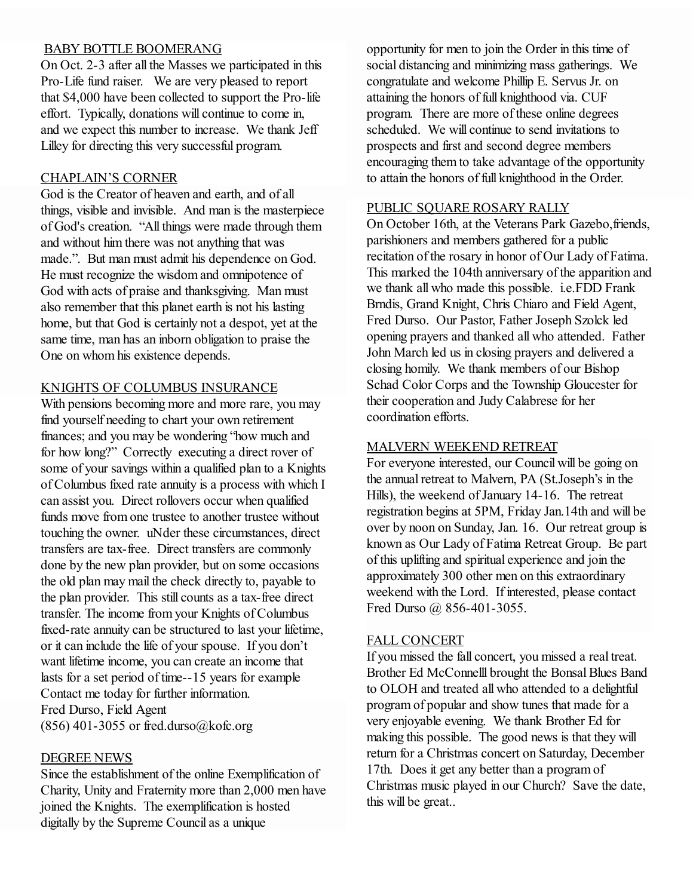#### BABY BOTTLE BOOMERANG

On Oct. 2-3 after all the Masses we participated in this Pro-Life fund raiser. We are very pleased to report that \$4,000 have been collected to support the Pro-life effort. Typically, donations will continue to come in, and we expect this number to increase. We thank Jeff Lilley for directing this very successful program.

#### CHAPLAIN'S CORNER

God is the Creator of heaven and earth, and of all things, visible and invisible. And man is the masterpiece of God's creation. "All things were made through them and without him there was not anything that was made.". But man must admit his dependence on God. He must recognize the wisdom and omnipotence of God with acts of praise and thanksgiving. Man must also remember that this planet earth is not his lasting home, but that God is certainly not a despot, yet at the same time, man has an inborn obligation to praise the One on whom his existence depends.

#### KNIGHTS OF COLUMBUS INSURANCE

With pensions becoming more and more rare, you may find yourself needing to chart your own retirement finances; and you may be wondering "how much and for how long?" Correctly executing a direct rover of some of your savings within a qualified plan to a Knights of Columbus fixed rate annuity is a process with which I can assist you. Direct rollovers occur when qualified funds move from one trustee to another trustee without touching the owner. uNder these circumstances, direct transfers are tax-free. Direct transfers are commonly done by the new plan provider, but on some occasions the old plan may mail the check directly to, payable to the plan provider. This still counts as a tax-free direct transfer. The income from your Knights of Columbus fixed-rate annuity can be structured to last your lifetime, or it can include the life of your spouse. If you don't want lifetime income, you can create an income that lasts for a set period of time--15 years for example Contact me today for further information. Fred Durso, Field Agent  $(856)$  401-3055 or fred.durso@kofc.org

#### DEGREE NEWS

Since the establishment of the online Exemplification of Charity, Unity and Fraternity more than 2,000 men have joined the Knights. The exemplification is hosted digitally by the Supreme Council as a unique

opportunity for men to join the Order in this time of social distancing and minimizing mass gatherings. We congratulate and welcome Phillip E. Servus Jr. on attaining the honors of full knighthood via. CUF program. There are more of these online degrees scheduled. We will continue to send invitations to prospects and first and second degree members encouraging them to take advantage of the opportunity to attain the honors of full knighthood in the Order.

#### PUBLIC SQUARE ROSARY RALLY

On October 16th, at the Veterans Park Gazebo,friends, parishioners and members gathered for a public recitation of the rosary in honor of Our Lady of Fatima. This marked the 104th anniversary of the apparition and we thank all who made this possible. i.e.FDD Frank Brndis, Grand Knight, Chris Chiaro and Field Agent, Fred Durso. Our Pastor, Father Joseph Szolck led opening prayers and thanked all who attended. Father John March led us in closing prayers and delivered a closing homily. We thank members of our Bishop Schad Color Corps and the Township Gloucester for their cooperation and Judy Calabrese for her coordination efforts.

#### MALVERN WEEKEND RETREAT

For everyone interested, our Council will be going on the annual retreat to Malvern, PA (St.Joseph's in the Hills), the weekend of January 14-16. The retreat registration begins at 5PM, Friday Jan.14th and will be over by noon on Sunday, Jan. 16. Our retreat group is known as Our Lady of Fatima Retreat Group. Be part of this uplifting and spiritual experience and join the approximately 300 other men on this extraordinary weekend with the Lord. If interested, please contact Fred Durso @ 856-401-3055.

#### FALL CONCERT

If you missed the fall concert, you missed a real treat. Brother Ed McConnelll brought the Bonsal Blues Band to OLOH and treated all who attended to a delightful program of popular and show tunes that made for a very enjoyable evening. We thank Brother Ed for making this possible. The good news is that they will return for a Christmas concert on Saturday, December 17th. Does it get any better than a program of Christmas music played in our Church? Save the date, this will be great..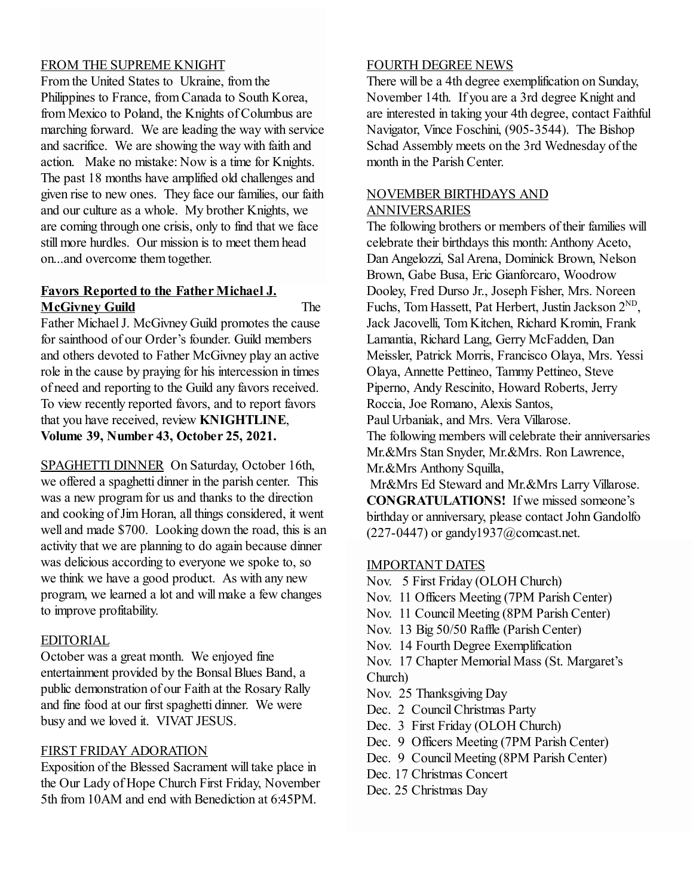#### FROM THE SUPREME KNIGHT

From the United States to Ukraine, from the Philippines to France, from Canada to South Korea, from Mexico to Poland, the Knights of Columbus are marching forward. We are leading the way with service and sacrifice. We are showing the way with faith and action. Make no mistake: Now is a time for Knights. The past 18 months have amplified old challenges and given rise to new ones. They face our families, our faith and our culture as a whole. My brother Knights, we are coming through one crisis, only to find that we face still more hurdles. Our mission is to meet them head on...and overcome them together.

#### **Favors Reported to the Father Michael J. McGivney Guild** The

Father Michael J. McGivney Guild promotes the cause for sainthood of our Order's founder. Guild members and others devoted to Father McGivney play an active role in the cause by praying for his intercession in times of need and reporting to the Guild any favors received. To view recently reported favors, and to report favors that you have received, review **KNIGHTLINE**, **Volume 39, Number 43, October 25, 2021.**

SPAGHETTI DINNER On Saturday, October 16th, we offered a spaghetti dinner in the parish center. This was a new program for us and thanks to the direction and cooking of Jim Horan, all things considered, it went well and made \$700. Looking down the road, this is an activity that we are planning to do again because dinner was delicious according to everyone we spoke to, so we think we have a good product. As with any new program, we learned a lot and will make a few changes to improve profitability.

#### EDITORIAL

October was a great month. We enjoyed fine entertainment provided by the Bonsal Blues Band, a public demonstration of our Faith at the Rosary Rally and fine food at our first spaghetti dinner. We were busy and we loved it. VIVAT JESUS.

#### FIRST FRIDAY ADORATION

Exposition of the Blessed Sacrament will take place in the Our Lady of Hope Church First Friday, November 5th from 10AM and end with Benediction at 6:45PM.

#### FOURTH DEGREE NEWS

There will be a 4th degree exemplification on Sunday, November 14th. If you are a 3rd degree Knight and are interested in taking your 4th degree, contact Faithful Navigator, Vince Foschini, (905-3544). The Bishop Schad Assembly meets on the 3rd Wednesday of the month in the Parish Center.

#### NOVEMBER BIRTHDAYS AND ANNIVERSARIES

The following brothers or members of their families will celebrate their birthdays this month: Anthony Aceto, Dan Angelozzi, Sal Arena, Dominick Brown, Nelson Brown, Gabe Busa, Eric Gianforcaro, Woodrow Dooley, Fred Durso Jr., Joseph Fisher, Mrs. Noreen Fuchs, Tom Hassett, Pat Herbert, Justin Jackson 2<sup>ND</sup>, Jack Jacovelli, Tom Kitchen, Richard Kromin, Frank Lamantia, Richard Lang, Gerry McFadden, Dan Meissler, Patrick Morris, Francisco Olaya, Mrs. Yessi Olaya, Annette Pettineo, Tammy Pettineo, Steve Piperno, Andy Rescinito, Howard Roberts, Jerry Roccia, Joe Romano, Alexis Santos,

Paul Urbaniak, and Mrs. Vera Villarose.

The following members will celebrate their anniversaries Mr.&Mrs Stan Snyder, Mr.&Mrs. Ron Lawrence, Mr.&Mrs Anthony Squilla,

Mr&Mrs Ed Steward and Mr.&Mrs Larry Villarose. **CONGRATULATIONS!** If we missed someone's birthday or anniversary, please contact John Gandolfo  $(227-0447)$  or gandy1937@comcast.net.

#### IMPORTANT DATES

Nov. 5 First Friday (OLOH Church)

- Nov. 11 Officers Meeting (7PM Parish Center)
- Nov. 11 Council Meeting (8PM Parish Center)
- Nov. 13 Big 50/50 Raffle (Parish Center)
- Nov. 14 Fourth Degree Exemplification

Nov. 17 Chapter Memorial Mass (St. Margaret's Church)

- Nov. 25 Thanksgiving Day
- Dec. 2 Council Christmas Party
- Dec. 3 First Friday (OLOH Church)
- Dec. 9 Officers Meeting (7PM Parish Center)
- Dec. 9 Council Meeting (8PM Parish Center)
- Dec. 17 Christmas Concert
- Dec. 25 Christmas Day